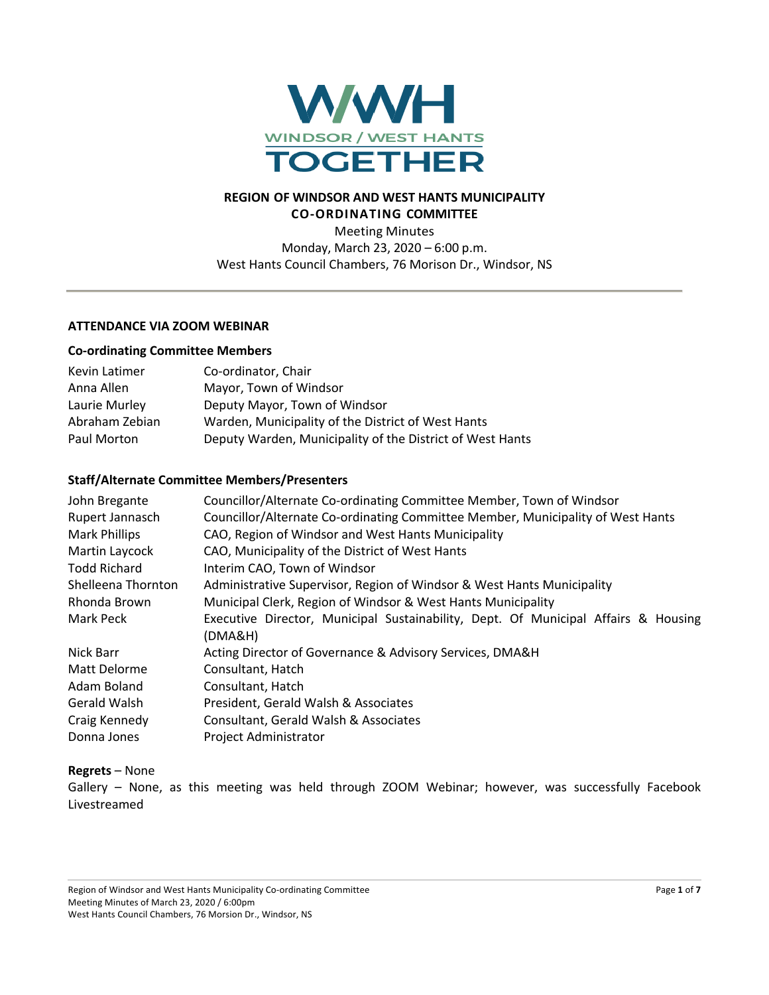

### **REGION OF WINDSOR AND WEST HANTS MUNICIPALITY CO-ORDINATING COMMITTEE**

Meeting Minutes Monday, March 23, 2020 – 6:00 p.m. West Hants Council Chambers, 76 Morison Dr., Windsor, NS

### **ATTENDANCE VIA ZOOM WEBINAR**

### **Co-ordinating Committee Members**

| Kevin Latimer  | Co-ordinator, Chair                                       |
|----------------|-----------------------------------------------------------|
| Anna Allen     | Mayor, Town of Windsor                                    |
| Laurie Murley  | Deputy Mayor, Town of Windsor                             |
| Abraham Zebian | Warden, Municipality of the District of West Hants        |
| Paul Morton    | Deputy Warden, Municipality of the District of West Hants |

### **Staff/Alternate Committee Members/Presenters**

| John Bregante<br>Rupert Jannasch<br><b>Mark Phillips</b><br>Martin Laycock<br><b>Todd Richard</b> | Councillor/Alternate Co-ordinating Committee Member, Town of Windsor<br>Councillor/Alternate Co-ordinating Committee Member, Municipality of West Hants<br>CAO, Region of Windsor and West Hants Municipality<br>CAO, Municipality of the District of West Hants<br>Interim CAO, Town of Windsor |
|---------------------------------------------------------------------------------------------------|--------------------------------------------------------------------------------------------------------------------------------------------------------------------------------------------------------------------------------------------------------------------------------------------------|
| Shelleena Thornton                                                                                | Administrative Supervisor, Region of Windsor & West Hants Municipality                                                                                                                                                                                                                           |
| Rhonda Brown                                                                                      | Municipal Clerk, Region of Windsor & West Hants Municipality                                                                                                                                                                                                                                     |
| Mark Peck                                                                                         | Executive Director, Municipal Sustainability, Dept. Of Municipal Affairs & Housing<br>(DMA&H)                                                                                                                                                                                                    |
| Nick Barr                                                                                         | Acting Director of Governance & Advisory Services, DMA&H                                                                                                                                                                                                                                         |
| Matt Delorme                                                                                      | Consultant, Hatch                                                                                                                                                                                                                                                                                |
| Adam Boland                                                                                       | Consultant, Hatch                                                                                                                                                                                                                                                                                |
| Gerald Walsh                                                                                      | President, Gerald Walsh & Associates                                                                                                                                                                                                                                                             |
| Craig Kennedy                                                                                     | Consultant, Gerald Walsh & Associates                                                                                                                                                                                                                                                            |
| Donna Jones                                                                                       | Project Administrator                                                                                                                                                                                                                                                                            |

#### **Regrets** – None

Gallery – None, as this meeting was held through ZOOM Webinar; however, was successfully Facebook Livestreamed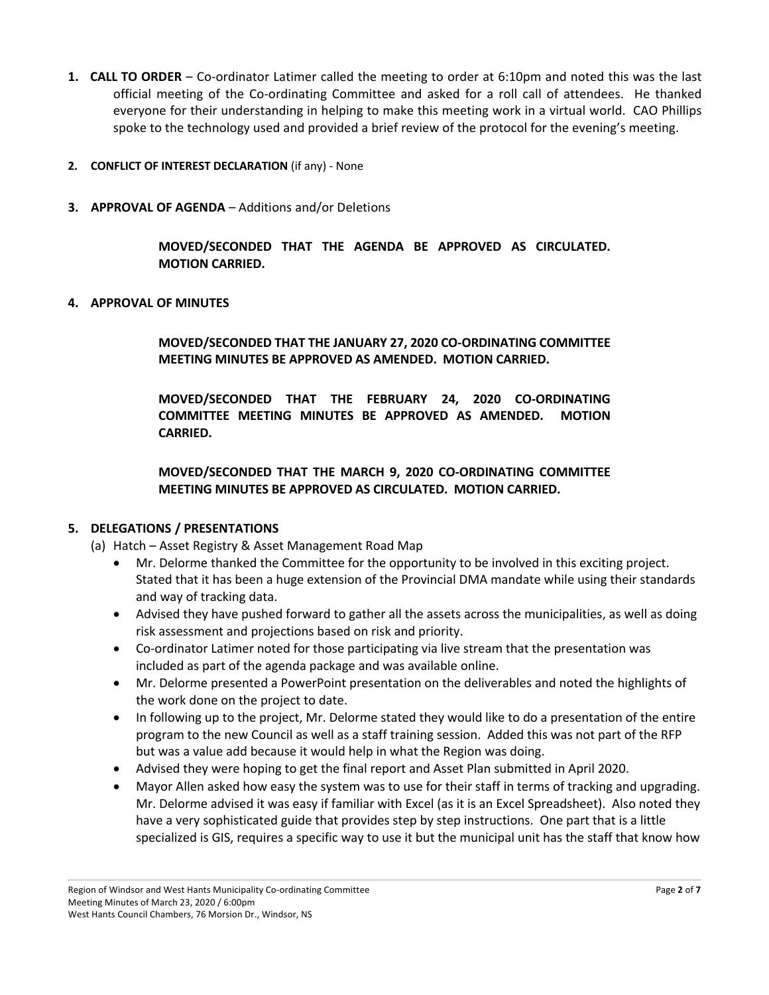- **1. CALL TO ORDER** Co-ordinator Latimer called the meeting to order at 6:10pm and noted this was the last official meeting of the Co-ordinating Committee and asked for a roll call of attendees. He thanked everyone for their understanding in helping to make this meeting work in a virtual world. CAO Phillips spoke to the technology used and provided a brief review of the protocol for the evening's meeting.
- **2. CONFLICT OF INTEREST DECLARATION** (if any) None
- **3. APPROVAL OF AGENDA** Additions and/or Deletions

**MOVED/SECONDED THAT THE AGENDA BE APPROVED AS CIRCULATED. MOTION CARRIED.**

**4. APPROVAL OF MINUTES** 

**MOVED/SECONDED THAT THE JANUARY 27, 2020 CO-ORDINATING COMMITTEE MEETING MINUTES BE APPROVED AS AMENDED. MOTION CARRIED.**

**MOVED/SECONDED THAT THE FEBRUARY 24, 2020 CO-ORDINATING COMMITTEE MEETING MINUTES BE APPROVED AS AMENDED. MOTION CARRIED.**

**MOVED/SECONDED THAT THE MARCH 9, 2020 CO-ORDINATING COMMITTEE MEETING MINUTES BE APPROVED AS CIRCULATED. MOTION CARRIED.**

## **5. DELEGATIONS / PRESENTATIONS**

- (a) Hatch Asset Registry & Asset Management Road Map
	- Mr. Delorme thanked the Committee for the opportunity to be involved in this exciting project. Stated that it has been a huge extension of the Provincial DMA mandate while using their standards and way of tracking data.
	- Advised they have pushed forward to gather all the assets across the municipalities, as well as doing risk assessment and projections based on risk and priority.
	- Co-ordinator Latimer noted for those participating via live stream that the presentation was included as part of the agenda package and was available online.
	- Mr. Delorme presented a PowerPoint presentation on the deliverables and noted the highlights of the work done on the project to date.
	- In following up to the project, Mr. Delorme stated they would like to do a presentation of the entire program to the new Council as well as a staff training session. Added this was not part of the RFP but was a value add because it would help in what the Region was doing.
	- Advised they were hoping to get the final report and Asset Plan submitted in April 2020.
	- Mayor Allen asked how easy the system was to use for their staff in terms of tracking and upgrading. Mr. Delorme advised it was easy if familiar with Excel (as it is an Excel Spreadsheet). Also noted they have a very sophisticated guide that provides step by step instructions. One part that is a little specialized is GIS, requires a specific way to use it but the municipal unit has the staff that know how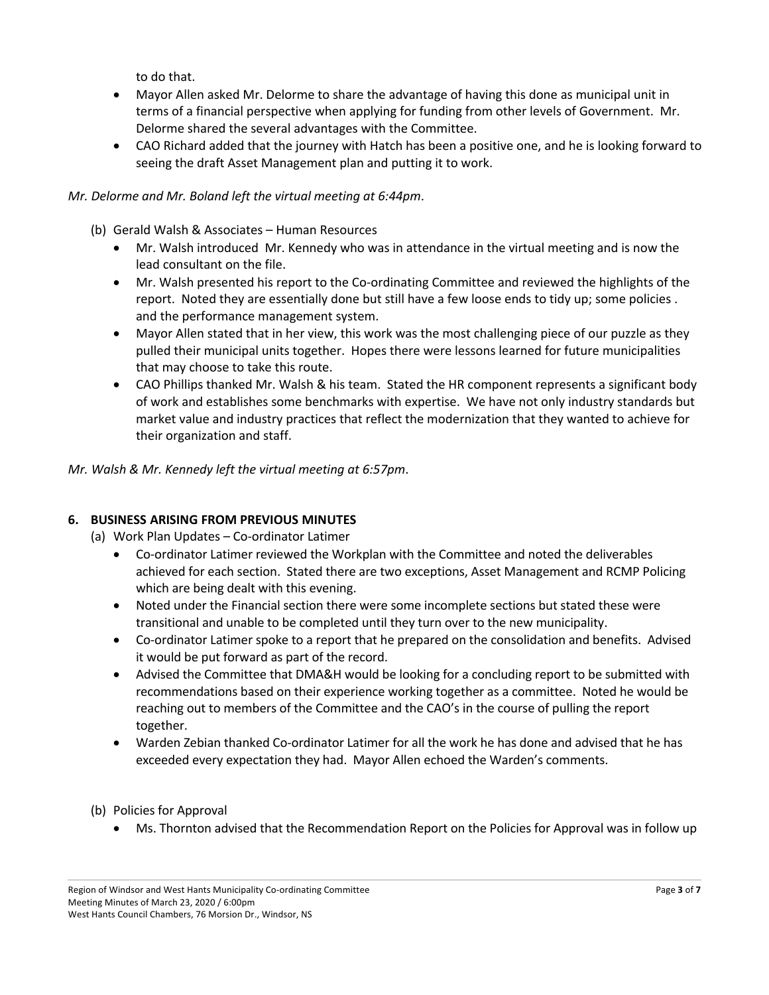to do that.

- Mayor Allen asked Mr. Delorme to share the advantage of having this done as municipal unit in terms of a financial perspective when applying for funding from other levels of Government. Mr. Delorme shared the several advantages with the Committee.
- CAO Richard added that the journey with Hatch has been a positive one, and he is looking forward to seeing the draft Asset Management plan and putting it to work.

# *Mr. Delorme and Mr. Boland left the virtual meeting at 6:44pm*.

- (b) Gerald Walsh & Associates Human Resources
	- Mr. Walsh introduced Mr. Kennedy who was in attendance in the virtual meeting and is now the lead consultant on the file.
	- Mr. Walsh presented his report to the Co-ordinating Committee and reviewed the highlights of the report. Noted they are essentially done but still have a few loose ends to tidy up; some policies . and the performance management system.
	- Mayor Allen stated that in her view, this work was the most challenging piece of our puzzle as they pulled their municipal units together. Hopes there were lessons learned for future municipalities that may choose to take this route.
	- CAO Phillips thanked Mr. Walsh & his team. Stated the HR component represents a significant body of work and establishes some benchmarks with expertise. We have not only industry standards but market value and industry practices that reflect the modernization that they wanted to achieve for their organization and staff.

*Mr. Walsh & Mr. Kennedy left the virtual meeting at 6:57pm*.

## **6. BUSINESS ARISING FROM PREVIOUS MINUTES**

(a) Work Plan Updates – Co-ordinator Latimer

- Co-ordinator Latimer reviewed the Workplan with the Committee and noted the deliverables achieved for each section. Stated there are two exceptions, Asset Management and RCMP Policing which are being dealt with this evening.
- Noted under the Financial section there were some incomplete sections but stated these were transitional and unable to be completed until they turn over to the new municipality.
- Co-ordinator Latimer spoke to a report that he prepared on the consolidation and benefits. Advised it would be put forward as part of the record.
- Advised the Committee that DMA&H would be looking for a concluding report to be submitted with recommendations based on their experience working together as a committee. Noted he would be reaching out to members of the Committee and the CAO's in the course of pulling the report together.
- Warden Zebian thanked Co-ordinator Latimer for all the work he has done and advised that he has exceeded every expectation they had. Mayor Allen echoed the Warden's comments.
- (b) Policies for Approval
	- Ms. Thornton advised that the Recommendation Report on the Policies for Approval was in follow up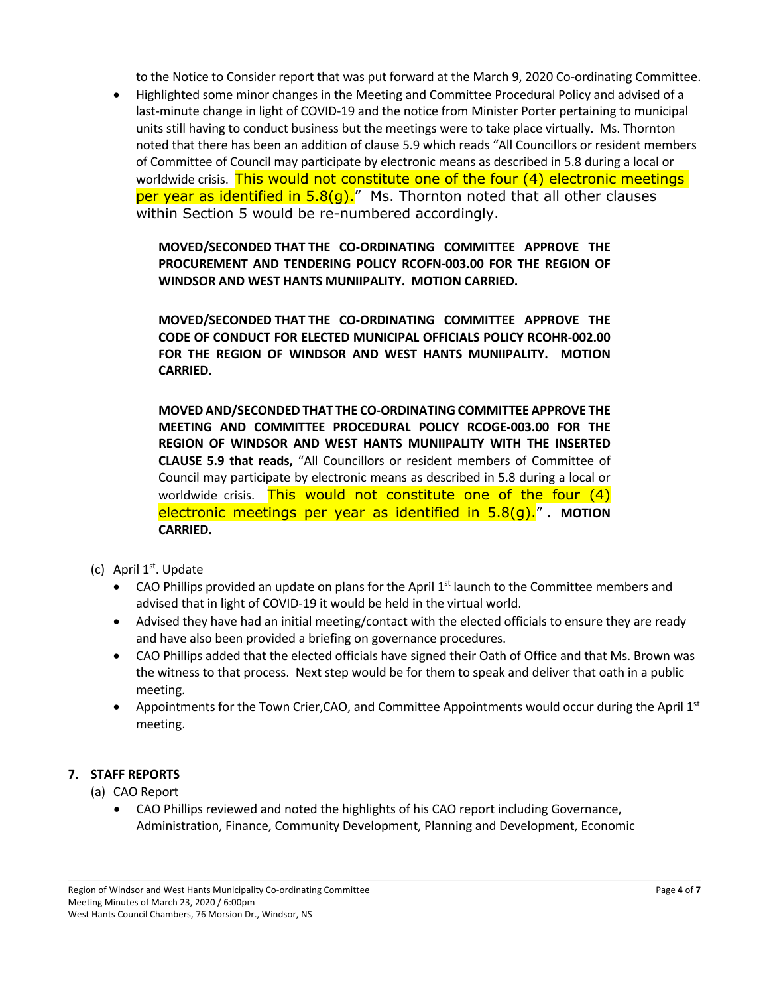to the Notice to Consider report that was put forward at the March 9, 2020 Co-ordinating Committee.

• Highlighted some minor changes in the Meeting and Committee Procedural Policy and advised of a last-minute change in light of COVID-19 and the notice from Minister Porter pertaining to municipal units still having to conduct business but the meetings were to take place virtually. Ms. Thornton noted that there has been an addition of clause 5.9 which reads "All Councillors or resident members of Committee of Council may participate by electronic means as described in 5.8 during a local or worldwide crisis. This would not constitute one of the four (4) electronic meetings per year as identified in  $5.8(q)$ ." Ms. Thornton noted that all other clauses within Section 5 would be re-numbered accordingly.

**MOVED/SECONDED THAT THE CO-ORDINATING COMMITTEE APPROVE THE PROCUREMENT AND TENDERING POLICY RCOFN-003.00 FOR THE REGION OF WINDSOR AND WEST HANTS MUNIIPALITY. MOTION CARRIED.**

**MOVED/SECONDED THAT THE CO-ORDINATING COMMITTEE APPROVE THE CODE OF CONDUCT FOR ELECTED MUNICIPAL OFFICIALS POLICY RCOHR-002.00 FOR THE REGION OF WINDSOR AND WEST HANTS MUNIIPALITY. MOTION CARRIED.**

**MOVED AND/SECONDED THAT THE CO-ORDINATING COMMITTEE APPROVE THE MEETING AND COMMITTEE PROCEDURAL POLICY RCOGE-003.00 FOR THE REGION OF WINDSOR AND WEST HANTS MUNIIPALITY WITH THE INSERTED CLAUSE 5.9 that reads,** "All Councillors or resident members of Committee of Council may participate by electronic means as described in 5.8 during a local or worldwide crisis. This would not constitute one of the four (4) electronic meetings per year as identified in 5.8(g)." **. MOTION CARRIED.**

- (c) April  $1<sup>st</sup>$ . Update
	- CAO Phillips provided an update on plans for the April  $1<sup>st</sup>$  launch to the Committee members and advised that in light of COVID-19 it would be held in the virtual world.
	- Advised they have had an initial meeting/contact with the elected officials to ensure they are ready and have also been provided a briefing on governance procedures.
	- CAO Phillips added that the elected officials have signed their Oath of Office and that Ms. Brown was the witness to that process. Next step would be for them to speak and deliver that oath in a public meeting.
	- Appointments for the Town Crier, CAO, and Committee Appointments would occur during the April  $1<sup>st</sup>$ meeting.

## **7. STAFF REPORTS**

(a) CAO Report

• CAO Phillips reviewed and noted the highlights of his CAO report including Governance, Administration, Finance, Community Development, Planning and Development, Economic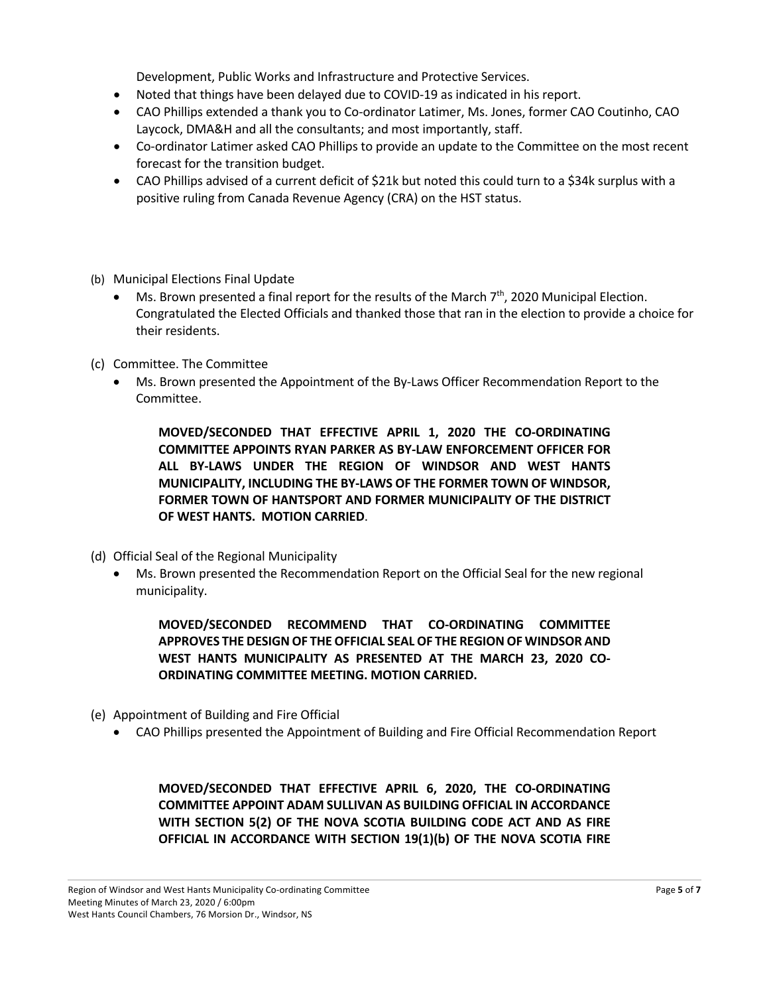Development, Public Works and Infrastructure and Protective Services.

- Noted that things have been delayed due to COVID-19 as indicated in his report.
- CAO Phillips extended a thank you to Co-ordinator Latimer, Ms. Jones, former CAO Coutinho, CAO Laycock, DMA&H and all the consultants; and most importantly, staff.
- Co-ordinator Latimer asked CAO Phillips to provide an update to the Committee on the most recent forecast for the transition budget.
- CAO Phillips advised of a current deficit of \$21k but noted this could turn to a \$34k surplus with a positive ruling from Canada Revenue Agency (CRA) on the HST status.
- (b) Municipal Elections Final Update
	- Ms. Brown presented a final report for the results of the March  $7<sup>th</sup>$ , 2020 Municipal Election. Congratulated the Elected Officials and thanked those that ran in the election to provide a choice for their residents.
- (c) Committee. The Committee
	- Ms. Brown presented the Appointment of the By-Laws Officer Recommendation Report to the Committee.

**MOVED/SECONDED THAT EFFECTIVE APRIL 1, 2020 THE CO-ORDINATING COMMITTEE APPOINTS RYAN PARKER AS BY-LAW ENFORCEMENT OFFICER FOR ALL BY-LAWS UNDER THE REGION OF WINDSOR AND WEST HANTS MUNICIPALITY, INCLUDING THE BY-LAWS OF THE FORMER TOWN OF WINDSOR, FORMER TOWN OF HANTSPORT AND FORMER MUNICIPALITY OF THE DISTRICT OF WEST HANTS. MOTION CARRIED**.

- (d) Official Seal of the Regional Municipality
	- Ms. Brown presented the Recommendation Report on the Official Seal for the new regional municipality.

**MOVED/SECONDED RECOMMEND THAT CO-ORDINATING COMMITTEE APPROVES THE DESIGN OF THE OFFICIAL SEAL OF THE REGION OF WINDSOR AND WEST HANTS MUNICIPALITY AS PRESENTED AT THE MARCH 23, 2020 CO-ORDINATING COMMITTEE MEETING. MOTION CARRIED.**

- (e) Appointment of Building and Fire Official
	- CAO Phillips presented the Appointment of Building and Fire Official Recommendation Report

**MOVED/SECONDED THAT EFFECTIVE APRIL 6, 2020, THE CO-ORDINATING COMMITTEE APPOINT ADAM SULLIVAN AS BUILDING OFFICIAL IN ACCORDANCE WITH SECTION 5(2) OF THE NOVA SCOTIA BUILDING CODE ACT AND AS FIRE OFFICIAL IN ACCORDANCE WITH SECTION 19(1)(b) OF THE NOVA SCOTIA FIRE**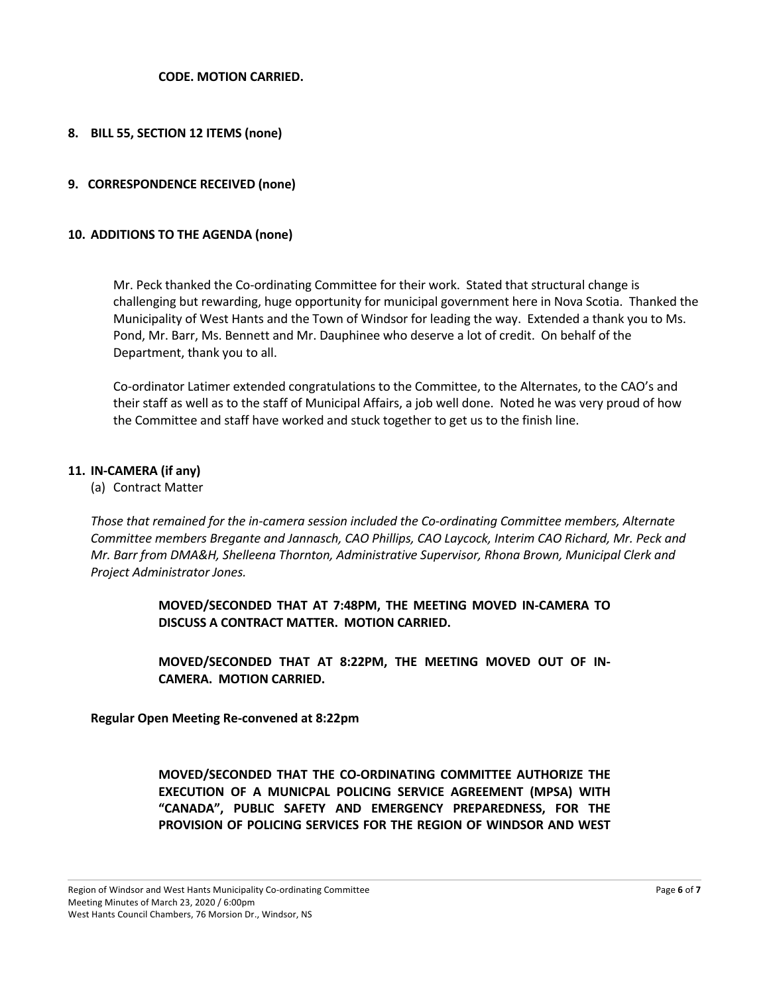#### **CODE. MOTION CARRIED.**

### **8. BILL 55, SECTION 12 ITEMS (none)**

### **9. CORRESPONDENCE RECEIVED (none)**

#### **10. ADDITIONS TO THE AGENDA (none)**

Mr. Peck thanked the Co-ordinating Committee for their work. Stated that structural change is challenging but rewarding, huge opportunity for municipal government here in Nova Scotia. Thanked the Municipality of West Hants and the Town of Windsor for leading the way. Extended a thank you to Ms. Pond, Mr. Barr, Ms. Bennett and Mr. Dauphinee who deserve a lot of credit. On behalf of the Department, thank you to all.

Co-ordinator Latimer extended congratulations to the Committee, to the Alternates, to the CAO's and their staff as well as to the staff of Municipal Affairs, a job well done. Noted he was very proud of how the Committee and staff have worked and stuck together to get us to the finish line.

### **11. IN-CAMERA (if any)**

(a) Contract Matter

*Those that remained for the in-camera session included the Co-ordinating Committee members, Alternate Committee members Bregante and Jannasch, CAO Phillips, CAO Laycock, Interim CAO Richard, Mr. Peck and Mr. Barr from DMA&H, Shelleena Thornton, Administrative Supervisor, Rhona Brown, Municipal Clerk and Project Administrator Jones.*

> **MOVED/SECONDED THAT AT 7:48PM, THE MEETING MOVED IN-CAMERA TO DISCUSS A CONTRACT MATTER. MOTION CARRIED.**

> **MOVED/SECONDED THAT AT 8:22PM, THE MEETING MOVED OUT OF IN-CAMERA. MOTION CARRIED.**

**Regular Open Meeting Re-convened at 8:22pm**

**MOVED/SECONDED THAT THE CO-ORDINATING COMMITTEE AUTHORIZE THE EXECUTION OF A MUNICPAL POLICING SERVICE AGREEMENT (MPSA) WITH "CANADA", PUBLIC SAFETY AND EMERGENCY PREPAREDNESS, FOR THE PROVISION OF POLICING SERVICES FOR THE REGION OF WINDSOR AND WEST**